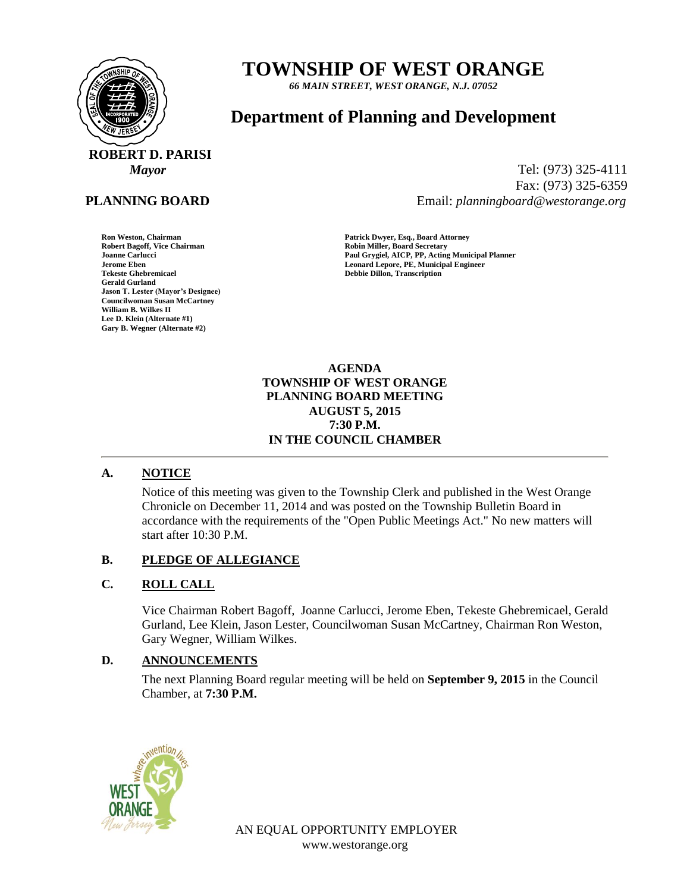

# **PLANNING BOARD**

Robert Bagoff, Vice Chairman **Robert Bagoff, Vice Chairman Robert Bagoff, Vice Chairman Robert Bagoff Secretary**<br>1991 Joanne Carlucci **Gerald Gurland Jason T. Lester (Mayor's Designee) Councilwoman Susan McCartney William B. Wilkes II Lee D. Klein (Alternate #1) Gary B. Wegner (Alternate #2)**

# **TOWNSHIP OF WEST ORANGE**

*66 MAIN STREET, WEST ORANGE, N.J. 07052*

# **Department of Planning and Development**

*Mayor* Tel: (973) 325-4111 Fax: (973) 325-6359 Email: *planningboard@westorange.org*

**Ron Weston, Chairman Patrick Dwyer, Esq., Board Attorney Joanne Carlucci Paul Grygiel, AICP, PP, Acting Municipal Planner Jerome Eben Leonard Lepore, PE, Municipal Engineer Tekeste Ghebremicael Debbie Dillon, Transcription**

> **AGENDA TOWNSHIP OF WEST ORANGE PLANNING BOARD MEETING AUGUST 5, 2015 7:30 P.M. IN THE COUNCIL CHAMBER**

# **A. NOTICE**

Notice of this meeting was given to the Township Clerk and published in the West Orange Chronicle on December 11, 2014 and was posted on the Township Bulletin Board in accordance with the requirements of the "Open Public Meetings Act." No new matters will start after 10:30 P.M.

# **B. PLEDGE OF ALLEGIANCE**

# **C. ROLL CALL**

Vice Chairman Robert Bagoff, Joanne Carlucci, Jerome Eben, Tekeste Ghebremicael, Gerald Gurland, Lee Klein, Jason Lester, Councilwoman Susan McCartney, Chairman Ron Weston, Gary Wegner, William Wilkes.

# **D. ANNOUNCEMENTS**

The next Planning Board regular meeting will be held on **September 9, 2015** in the Council Chamber, at **7:30 P.M.**